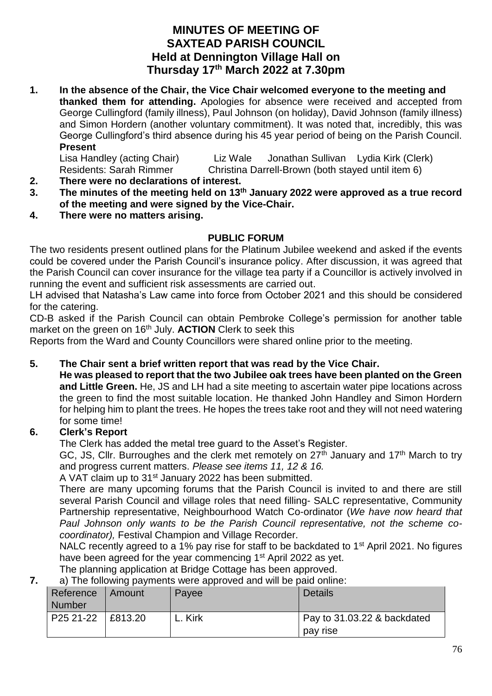# **MINUTES OF MEETING OF SAXTEAD PARISH COUNCIL Held at Dennington Village Hall on Thursday 17 th March 2022 at 7.30pm**

**1. In the absence of the Chair, the Vice Chair welcomed everyone to the meeting and thanked them for attending.** Apologies for absence were received and accepted from George Cullingford (family illness), Paul Johnson (on holiday), David Johnson (family illness) and Simon Hordern (another voluntary commitment). It was noted that, incredibly, this was George Cullingford's third absence during his 45 year period of being on the Parish Council. **Present**

Lisa Handley (acting Chair) Liz Wale Jonathan Sullivan Lydia Kirk (Clerk) Residents: Sarah Rimmer Christina Darrell-Brown (both stayed until item 6)

- **2. There were no declarations of interest.**
- **3. The minutes of the meeting held on 13th January 2022 were approved as a true record of the meeting and were signed by the Vice-Chair.**
- **4. There were no matters arising.**

#### **PUBLIC FORUM**

The two residents present outlined plans for the Platinum Jubilee weekend and asked if the events could be covered under the Parish Council's insurance policy. After discussion, it was agreed that the Parish Council can cover insurance for the village tea party if a Councillor is actively involved in running the event and sufficient risk assessments are carried out.

LH advised that Natasha's Law came into force from October 2021 and this should be considered for the catering.

CD-B asked if the Parish Council can obtain Pembroke College's permission for another table market on the green on 16th July. **ACTION** Clerk to seek this

Reports from the Ward and County Councillors were shared online prior to the meeting.

## **5. The Chair sent a brief written report that was read by the Vice Chair.**

**He was pleased to report that the two Jubilee oak trees have been planted on the Green and Little Green.** He, JS and LH had a site meeting to ascertain water pipe locations across the green to find the most suitable location. He thanked John Handley and Simon Hordern for helping him to plant the trees. He hopes the trees take root and they will not need watering for some time!

## **6. Clerk's Report**

The Clerk has added the metal tree guard to the Asset's Register.

GC, JS, Cllr. Burroughes and the clerk met remotely on  $27<sup>th</sup>$  January and  $17<sup>th</sup>$  March to try and progress current matters. *Please see items 11, 12 & 16.* 

A VAT claim up to 31<sup>st</sup> January 2022 has been submitted.

There are many upcoming forums that the Parish Council is invited to and there are still several Parish Council and village roles that need filling- SALC representative, Community Partnership representative, Neighbourhood Watch Co-ordinator (*We have now heard that Paul Johnson only wants to be the Parish Council representative, not the scheme cocoordinator),* Festival Champion and Village Recorder.

NALC recently agreed to a 1% pay rise for staff to be backdated to 1<sup>st</sup> April 2021. No figures have been agreed for the year commencing 1<sup>st</sup> April 2022 as yet.

The planning application at Bridge Cottage has been approved.

**7.** a) The following payments were approved and will be paid online:

| Reference<br><b>Number</b> | I Amount | Payee   | Details                     |
|----------------------------|----------|---------|-----------------------------|
| P25 21-22   £813.20        |          | L. Kirk | Pay to 31.03.22 & backdated |
|                            |          |         | pay rise                    |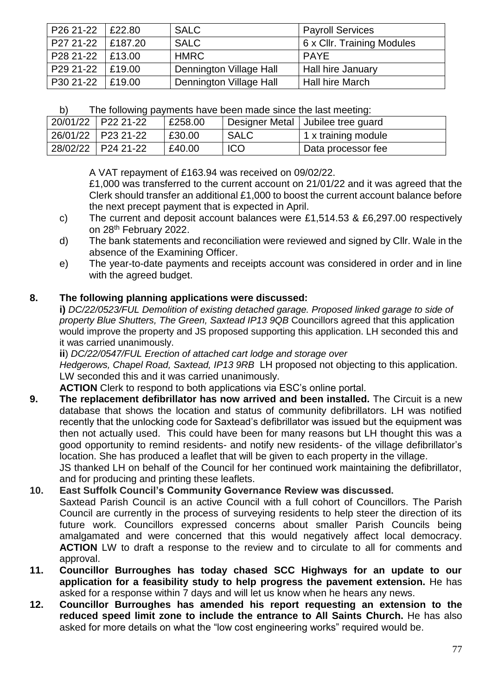| P26 21-22 | £22.80  | <b>SALC</b>             | <b>Payroll Services</b>    |
|-----------|---------|-------------------------|----------------------------|
| P27 21-22 | £187.20 | <b>SALC</b>             | 6 x Cllr. Training Modules |
| P28 21-22 | £13.00  | <b>HMRC</b>             | <b>PAYE</b>                |
| P29 21-22 | £19.00  | Dennington Village Hall | Hall hire January          |
| P30 21-22 | E19.00  | Dennington Village Hall | Hall hire March            |

| b) | The following payments have been made since the last meeting: |  |
|----|---------------------------------------------------------------|--|
|    |                                                               |  |

| $\frac{1}{20/01/22}$   P22 21-22 | £258.00 |            | Designer Metal   Jubilee tree guard |
|----------------------------------|---------|------------|-------------------------------------|
| 26/01/22 P23 21-22               | £30.00  | SALC       | 1 x training module                 |
| 28/02/22 P24 21-22               | £40.00  | <b>ICO</b> | Data processor fee                  |

A VAT repayment of £163.94 was received on 09/02/22.

£1,000 was transferred to the current account on 21/01/22 and it was agreed that the Clerk should transfer an additional £1,000 to boost the current account balance before the next precept payment that is expected in April.

- c) The current and deposit account balances were £1,514.53 & £6,297.00 respectively on 28<sup>th</sup> February 2022.
- d) The bank statements and reconciliation were reviewed and signed by Cllr. Wale in the absence of the Examining Officer.
- e) The year-to-date payments and receipts account was considered in order and in line with the agreed budget.

### **8. The following planning applications were discussed:**

**i)** *DC/22/0523/FUL Demolition of existing detached garage. Proposed linked garage to side of property Blue Shutters, The Green, Saxtead IP13 9QB* Councillors agreed that this application would improve the property and JS proposed supporting this application. LH seconded this and it was carried unanimously.

**ii**) *DC/22/0547/FUL Erection of attached cart lodge and storage over*

*Hedgerows, Chapel Road, Saxtead, IP13 9RB* LH proposed not objecting to this application. LW seconded this and it was carried unanimously.

**ACTION** Clerk to respond to both applications via ESC's online portal.

- **9. The replacement defibrillator has now arrived and been installed.** The Circuit is a new database that shows the location and status of community defibrillators. LH was notified recently that the unlocking code for Saxtead's defibrillator was issued but the equipment was then not actually used. This could have been for many reasons but LH thought this was a good opportunity to remind residents- and notify new residents- of the village defibrillator's location. She has produced a leaflet that will be given to each property in the village. JS thanked LH on behalf of the Council for her continued work maintaining the defibrillator,
	- and for producing and printing these leaflets.

#### **10. East Suffolk Council's Community Governance Review was discussed.**

Saxtead Parish Council is an active Council with a full cohort of Councillors. The Parish Council are currently in the process of surveying residents to help steer the direction of its future work. Councillors expressed concerns about smaller Parish Councils being amalgamated and were concerned that this would negatively affect local democracy. **ACTION** LW to draft a response to the review and to circulate to all for comments and approval.

- **11. Councillor Burroughes has today chased SCC Highways for an update to our application for a feasibility study to help progress the pavement extension.** He has asked for a response within 7 days and will let us know when he hears any news.
- **12. Councillor Burroughes has amended his report requesting an extension to the reduced speed limit zone to include the entrance to All Saints Church.** He has also asked for more details on what the "low cost engineering works" required would be.